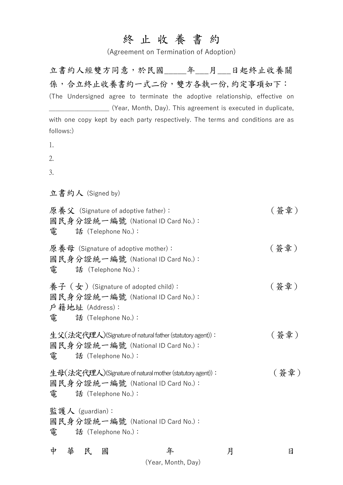## 終 止 收 養 書 約

(Agreement on Termination of Adoption)

立書約人經雙方同意,於民國\_\_\_\_\_年\_\_\_月\_\_\_日起終止收養關 係,合立終止收養書約一式二份,雙方各執一份,約定事項如下: (The Undersigned agree to terminate the adoptive relationship, effective on \_\_\_\_\_\_\_\_\_\_\_\_\_\_\_\_\_\_\_ (Year, Month, Day). This agreement is executed in duplicate, with one copy kept by each party respectively. The terms and conditions are as follows:)

- 1.
- 2.
- 3.

立書約人 (Signed by)

| 雷      | 原養父 (Signature of adoptive father):<br>國民身分證統一編號 (National ID Card No.):<br>話 (Telephone No.):                       |   |   | (簽章) |
|--------|----------------------------------------------------------------------------------------------------------------------|---|---|------|
| 雷      | 原養母 (Signature of adoptive mother):<br>國民身分證統一編號 (National ID Card No.):<br>話 (Telephone No.):                       |   |   | (簽章) |
|        | 養子 (女) (Signature of adopted child):<br>國民身分證統一編號 (National ID Card No.):<br>戶籍地址 (Address):<br>電 話 (Telephone No.): |   |   | (簽章) |
| 電      | 生父(法定代理人)(Signature of natural father (statutory agent)):<br>國民身分證統一編號 (National ID Card No.):<br>話 (Telephone No.): |   |   | (簽章) |
| 電      | 生母(法定代理人)(Signature of natural mother (statutory agent)):<br>國民身分證統一編號 (National ID Card No.):<br>話 (Telephone No.): |   |   | (簽章) |
| 電      | 監護人 (guardian):<br>國民身分證統一編號 (National ID Card No.):<br>話 (Telephone No.):                                           |   |   |      |
| 中<br>華 | 民<br>國                                                                                                               | 年 | 月 | 日    |

(Year, Month, Day)